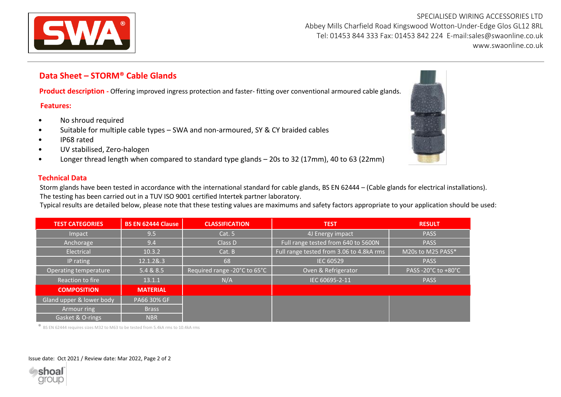

SPECIALISED WIRING ACCESSORIES LTD Abbey Mills Charfield Road Kingswood Wotton-Under-Edge Glos GL12 8RL Tel: 01453 844 333 Fax: 01453 842 224 E-mail:sales@swaonline.co.uk [www.swaonline.co.uk](http://www.swaonlione.co.uk/)

## **Data Sheet – STORM® Cable Glands**

**Product description** - Offering improved ingress protection and faster- fitting over conventional armoured cable glands.

## **Features:**

- No shroud required
- Suitable for multiple cable types SWA and non-armoured, SY & CY braided cables
- IP68 rated
- UV stabilised, Zero-halogen
- Longer thread length when compared to standard type glands 20s to 32 (17mm), 40 to 63 (22mm)

## **Technical Data**

Storm glands have been tested in accordance with the international standard for cable glands, BS EN 62444 – (Cable glands for electrical installations). The testing has been carried out in a TUV ISO 9001 certified Intertek partner laboratory.

Typical results are detailed below, please note that these testing values are maximums and safety factors appropriate to your application should be used:

| <b>TEST CATEGORIES</b>   | <b>BS EN 62444 Clause</b> | <b>CLASSIFICATION</b>        | <b>TEST</b>                              | <b>RESULT</b>       |  |  |
|--------------------------|---------------------------|------------------------------|------------------------------------------|---------------------|--|--|
| Impact                   | 9.5                       | Cat. 5                       | 4J Energy impact                         | <b>PASS</b>         |  |  |
| Anchorage                | 9.4                       | Class D                      | Full range tested from 640 to 5600N      | <b>PASS</b>         |  |  |
| Electrical               | 10.3.2                    | Cat. B                       | Full range tested from 3.06 to 4.8kA rms | M20s to M25 PASS*   |  |  |
| IP rating                | 12.1.2&.3                 | 68                           | <b>IEC 60529</b>                         | <b>PASS</b>         |  |  |
| Operating temperature    | 5.4 & 8.5                 | Required range -20°C to 65°C | Oven & Refrigerator                      | PASS -20°C to +80°C |  |  |
| Reaction to fire         | 13.1.1                    | N/A                          | IEC 60695-2-11                           | <b>PASS</b>         |  |  |
| <b>COMPOSITION</b>       | <b>MATERIAL</b>           |                              |                                          |                     |  |  |
| Gland upper & lower body | PA66 30% GF               |                              |                                          |                     |  |  |
| Armour ring              | <b>Brass</b>              |                              |                                          |                     |  |  |
| Gasket & O-rings         | <b>NBR</b>                |                              |                                          |                     |  |  |

**\*** BS EN 62444 requires sizes M32 to M63 to be tested from 5.4kA rms to 10.4kA rms

## Issue date: Oct 2021 / Review date: Mar 2022, Page 2 of 2